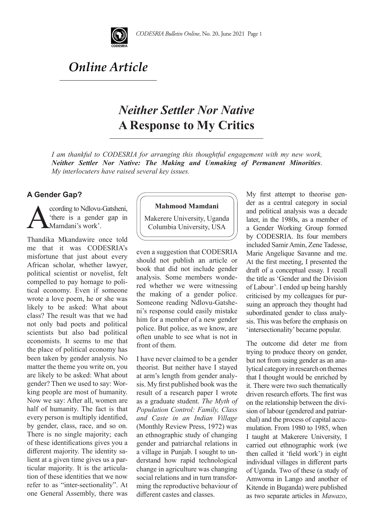

# *Online Article*

# *Neither Settler Nor Native*  **A Response to My Critics**

*I am thankful to CODESRIA for arranging this thoughtful engagement with my new work, Neither Settler Nor Native: The Making and Unmaking of Permanent Minorities*. *My interlocuters have raised several key issues.* 

### **A Gender Gap?**

Coording to Ndlovu-Gatsheni,<br>
"there is a gender gap in<br>
Mamdani's work'. 'there is a gender gap in Mamdani's work'.

Thandika Mkandawire once told me that it was CODESRIA's misfortune that just about every African scholar, whether lawyer, political scientist or novelist, felt compelled to pay homage to political economy. Even if someone wrote a love poem, he or she was likely to be asked: What about class? The result was that we had not only bad poets and political scientists but also bad political economists. It seems to me that the place of political economy has been taken by gender analysis. No matter the theme you write on, you are likely to be asked: What about gender? Then we used to say: Working people are most of humanity. Now we say: After all, women are half of humanity. The fact is that every person is multiply identified, by gender, class, race, and so on. There is no single majority; each of these identifications gives you a different majority. The identity salient at a given time gives us a particular majority. It is the articulation of these identities that we now refer to as "inter-sectionality". At one General Assembly, there was

### **Mahmood Mamdani**

Makerere University, Uganda Columbia University, USA

even a suggestion that CODESRIA should not publish an article or book that did not include gender analysis. Some members wondered whether we were witnessing the making of a gender police. Someone reading Ndlovu-Gatsheni's response could easily mistake him for a member of a new gender police. But police, as we know, are often unable to see what is not in front of them.

I have never claimed to be a gender theorist. But neither have I stayed at arm's length from gender analysis. My first published book was the result of a research paper I wrote as a graduate student. *The Myth of Population Control: Family, Class and Caste in an Indian Village*  (Monthly Review Press, 1972) was an ethnographic study of changing gender and patriarchal relations in a village in Punjab. I sought to understand how rapid technological change in agriculture was changing social relations and in turn transforming the reproductive behaviour of different castes and classes.

My first attempt to theorise gender as a central category in social and political analysis was a decade later, in the 1980s, as a member of a Gender Working Group formed by CODESRIA. Its four members included Samir Amin, Zene Tadesse, Marie Angelique Savanne and me. At the first meeting, I presented the draft of a conceptual essay. I recall the title as 'Gender and the Division of Labour'. I ended up being harshly criticised by my colleagues for pursuing an approach they thought had subordinated gender to class analysis. This was before the emphasis on 'intersectionality' became popular.

The outcome did deter me from trying to produce theory on gender, but not from using gender as an analytical category in research on themes that I thought would be enriched by it. There were two such thematically driven research efforts. The first was on the relationship between the division of labour (gendered and patriarchal) and the process of capital accumulation. From 1980 to 1985, when I taught at Makerere University, I carried out ethnographic work (we then called it 'field work') in eight individual villages in different parts of Uganda. Two of these (a study of Amwoma in Lango and another of Kitende in Buganda) were published as two separate articles in *Mawazo*,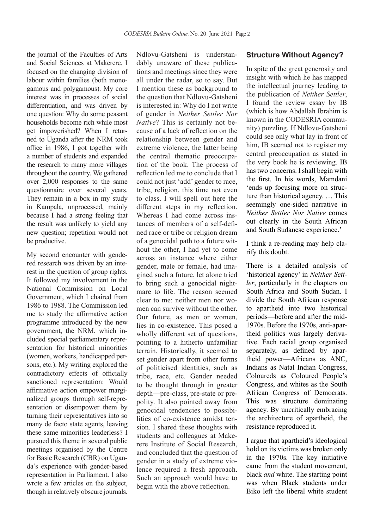the journal of the Faculties of Arts and Social Sciences at Makerere. I focused on the changing division of labour within families (both monogamous and polygamous). My core interest was in processes of social differentiation, and was driven by one question: Why do some peasant households become rich while most get impoverished? When I returned to Uganda after the NRM took office in 1986, I got together with a number of students and expanded the research to many more villages throughout the country. We gathered over 2,000 responses to the same questionnaire over several years. They remain in a box in my study in Kampala, unprocessed, mainly because I had a strong feeling that the result was unlikely to yield any new question; repetition would not be productive.

My second encounter with gendered research was driven by an interest in the question of group rights. It followed my involvement in the National Commission on Local Government, which I chaired from 1986 to 1988. The Commission led me to study the affirmative action programme introduced by the new government, the NRM, which included special parliamentary representation for historical minorities (women, workers, handicapped persons, etc.). My writing explored the contradictory effects of officially sanctioned representation: Would affirmative action empower marginalized groups through self-representation or disempower them by turning their representatives into so many de facto state agents, leaving these same minorities leaderless? I pursued this theme in several public meetings organised by the Centre for Basic Research (CBR) on Uganda's experience with gender-based representation in Parliament. I also wrote a few articles on the subject, though in relatively obscure journals.

Ndlovu-Gatsheni is understandably unaware of these publications and meetings since they were all under the radar, so to say. But I mention these as background to the question that Ndlovu-Gatsheni is interested in: Why do I not write of gender in *Neither Settler Nor Native*? This is certainly not because of a lack of reflection on the relationship between gender and extreme violence, the latter being the central thematic preoccupation of the book. The process of reflection led me to conclude that I could not just 'add' gender to race, tribe, religion, this time not even to class. I will spell out here the different steps in my reflection. Whereas I had come across instances of members of a self-defined race or tribe or religion dream of a genocidal path to a future without the other, I had yet to come across an instance where either gender, male or female, had imagined such a future, let alone tried to bring such a genocidal nightmare to life. The reason seemed clear to me: neither men nor women can survive without the other. Our future, as men or women, lies in co-existence. This posed a wholly different set of questions, pointing to a hitherto unfamiliar terrain. Historically, it seemed to set gender apart from other forms of politicised identities, such as tribe, race, etc. Gender needed to be thought through in greater depth—pre-class, pre-state or prepolity. It also pointed away from genocidal tendencies to possibilities of co-existence amidst tension. I shared these thoughts with students and colleagues at Makerere Institute of Social Research, and concluded that the question of gender in a study of extreme violence required a fresh approach. Such an approach would have to begin with the above reflection.

### **Structure Without Agency?**

In spite of the great generosity and insight with which he has mapped the intellectual journey leading to the publication of *Neither Settler*, I found the review essay by IB (which is how Abdallah Ibrahim is known in the CODESRIA community) puzzling. If Ndlovu-Gatsheni could see only what lay in front of him, IB seemed not to register my central preoccupation as stated in the very book he is reviewing. IB has two concerns. I shall begin with the first. In his words, Mamdani 'ends up focusing more on structure than historical agency. … This seemingly one-sided narrative in *Neither Settler Nor Native* comes out clearly in the South African and South Sudanese experience.'

I think a re-reading may help clarify this doubt.

There is a detailed analysis of 'historical agency' in *Neither Settler*, particularly in the chapters on South Africa and South Sudan. I divide the South African response to apartheid into two historical periods—before and after the mid-1970s. Before the 1970s, anti-apartheid politics was largely derivative. Each racial group organised separately, as defined by apartheid power—Africans as ANC, Indians as Natal Indian Congress, Coloureds as Coloured People's Congress, and whites as the South African Congress of Democrats. This was structure dominating agency. By uncritically embracing the architecture of apartheid, the resistance reproduced it.

I argue that apartheid's ideological hold on its victims was broken only in the 1970s. The key initiative came from the student movement, black *and* white. The starting point was when Black students under Biko left the liberal white student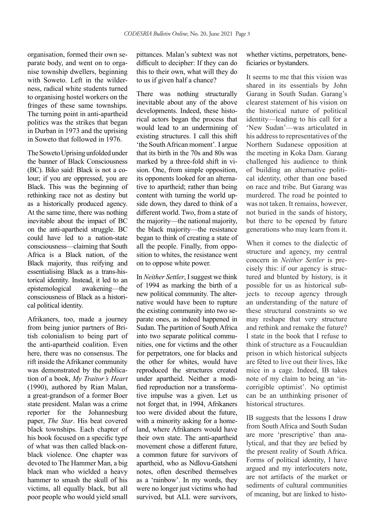organisation, formed their own separate body, and went on to organise township dwellers, beginning with Soweto. Left in the wilderness, radical white students turned to organising hostel workers on the fringes of these same townships. The turning point in anti-apartheid politics was the strikes that began in Durban in 1973 and the uprising in Soweto that followed in 1976.

The Soweto Uprising unfolded under the banner of Black Consciousness (BC). Biko said: Black is not a colour; if you are oppressed, you are Black. This was the beginning of rethinking race not as destiny but as a historically produced agency. At the same time, there was nothing inevitable about the impact of BC on the anti-apartheid struggle. BC could have led to a nation-state consciousness—claiming that South Africa is a Black nation, of the Black majority, thus reifying and essentialising Black as a trans-historical identity. Instead, it led to an epistemological awakening—the consciousness of Black as a historical political identity.

Afrikaners, too, made a journey from being junior partners of British colonialism to being part of the anti-apartheid coalition. Even here, there was no consensus. The rift inside the Afrikaner community was demonstrated by the publication of a book, *My Traitor's Heart*  (1990), authored by Rian Malan, a great-grandson of a former Boer state president. Malan was a crime reporter for the Johannesburg paper, *The Star*. His beat covered black townships. Each chapter of his book focused on a specific type of what was then called black-onblack violence. One chapter was devoted to The Hammer Man, a big black man who wielded a heavy hammer to smash the skull of his victims, all equally black, but all poor people who would yield small

pittances. Malan's subtext was not difficult to decipher: If they can do this to their own, what will they do to us if given half a chance?

There was nothing structurally inevitable about any of the above developments. Indeed, these historical actors began the process that would lead to an undermining of existing structures. I call this shift 'the South African moment'. I argue that its birth in the 70s and 80s was marked by a three-fold shift in vision. One, from simple opposition, its opponents looked for an alternative to apartheid; rather than being content with turning the world upside down, they dared to think of a different world. Two, from a state of the majority—the national majority, the black majority—the resistance began to think of creating a state of all the people. Finally, from opposition to whites, the resistance went on to oppose white power.

In *Neither Settler*, I suggest we think of 1994 as marking the birth of a new political community. The alternative would have been to rupture the existing community into two separate ones, as indeed happened in Sudan. The partition of South Africa into two separate political communities, one for victims and the other for perpetrators, one for blacks and the other for whites, would have reproduced the structures created under apartheid. Neither a modified reproduction nor a transformative impulse was a given. Let us not forget that, in 1994, Afrikaners too were divided about the future, with a minority asking for a homeland, where Afrikaners would have their own state. The anti-apartheid movement chose a different future, a common future for survivors of apartheid, who as Ndlovu-Gatsheni notes, often described themselves as a 'rainbow'. In my words, they were no longer just victims who had survived, but ALL were survivors,

whether victims, perpetrators, beneficiaries or bystanders.

It seems to me that this vision was shared in its essentials by John Garang in South Sudan. Garang's clearest statement of his vision on the historical nature of political identity—leading to his call for a 'New Sudan'—was articulated in his address to representatives of the Northern Sudanese opposition at the meeting in Koka Dam. Garang challenged his audience to think of building an alternative political identity, other than one based on race and tribe. But Garang was murdered. The road he pointed to was not taken. It remains, however, not buried in the sands of history, but there to be opened by future generations who may learn from it.

When it comes to the dialectic of structure and agency, my central concern in *Neither Settler* is precisely this: if our agency is structured and blunted by history, is it possible for us as historical subjects to recoup agency through an understanding of the nature of these structural constraints so we may reshape that very structure and rethink and remake the future? I state in the book that I refuse to think of structure as a Foucauldian prison in which historical subjects are fêted to live out their lives, like mice in a cage. Indeed, IB takes note of my claim to being an 'incorrigible optimist'. No optimist can be an unthinking prisoner of historical structures.

IB suggests that the lessons I draw from South Africa and South Sudan are more 'prescriptive' than analytical, and that they are belied by the present reality of South Africa. Forms of political identity, I have argued and my interlocuters note, are not artifacts of the market or sediments of cultural communities of meaning, but are linked to histo-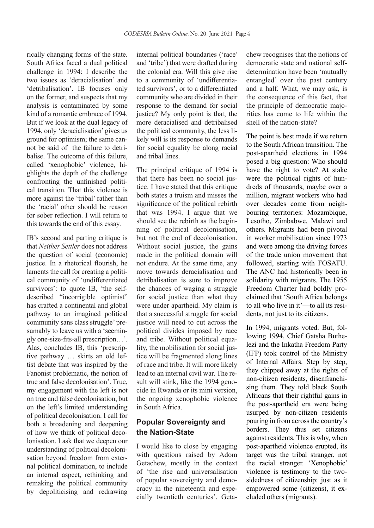rically changing forms of the state. South Africa faced a dual political challenge in 1994: I describe the two issues as 'deracialisation' and 'detribalisation'. IB focuses only on the former, and suspects that my analysis is contaminated by some kind of a romantic embrace of 1994. But if we look at the dual legacy of 1994, only 'deracialisation' gives us ground for optimism; the same cannot be said of the failure to detribalise. The outcome of this failure, called 'xenophobic' violence, highlights the depth of the challenge confronting the unfinished political transition. That this violence is more against the 'tribal' rather than the 'racial' other should be reason for sober reflection. I will return to this towards the end of this essay.

IB's second and parting critique is that *Neither Settler* does not address the question of social (economic) justice. In a rhetorical flourish, he laments the call for creating a political community of 'undifferentiated survivors': to quote IB, 'the selfdescribed "incorrigible optimist" has crafted a continental and global pathway to an imagined political community sans class struggle' presumably to leave us with a 'seemingly one-size-fits-all prescription…'. Alas, concludes IB, this 'prescriptive pathway … skirts an old leftist debate that was inspired by the Fanonist problematic, the notion of true and false decolonisation'. True, my engagement with the left is not on true and false decolonisation, but on the left's limited understanding of political decolonisation. I call for both a broadening and deepening of how we think of political decolonisation. I ask that we deepen our understanding of political decolonisation beyond freedom from external political domination, to include an internal aspect, rethinking and remaking the political community by depoliticising and redrawing

internal political boundaries ('race' and 'tribe') that were drafted during the colonial era. Will this give rise to a community of 'undifferentiated survivors', or to a differentiated community who are divided in their response to the demand for social justice? My only point is that, the more deracialised and detribalised the political community, the less likely will is its response to demands for social equality be along racial and tribal lines.

The principal critique of 1994 is that there has been no social justice. I have stated that this critique both states a truism and misses the significance of the political rebirth that was 1994. I argue that we should see the rebirth as the beginning of political decolonisation, but not the end of decolonisation. Without social justice, the gains made in the political domain will not endure. At the same time, any move towards deracialisation and detribalisation is sure to improve the chances of waging a struggle for social justice than what they were under apartheid. My claim is that a successful struggle for social justice will need to cut across the political divides imposed by race and tribe. Without political equality, the mobilisation for social justice will be fragmented along lines of race and tribe. It will more likely lead to an internal civil war. The result will stink, like the 1994 genocide in Rwanda or its mini version, the ongoing xenophobic violence in South Africa.

## **Popular Sovereignty and the Nation-State**

I would like to close by engaging with questions raised by Adom Getachew, mostly in the context of 'the rise and universalisation of popular sovereignty and democracy in the nineteenth and especially twentieth centuries'. Getachew recognises that the notions of democratic state and national selfdetermination have been 'mutually entangled' over the past century and a half. What, we may ask, is the consequence of this fact, that the principle of democratic majorities has come to life within the shell of the nation-state?

The point is best made if we return to the South African transition. The post-apartheid elections in 1994 posed a big question: Who should have the right to vote? At stake were the political rights of hundreds of thousands, maybe over a million, migrant workers who had over decades come from neighbouring territories: Mozambique, Lesotho, Zimbabwe, Malawi and others. Migrants had been pivotal in worker mobilisation since 1973 and were among the driving forces of the trade union movement that followed, starting with FOSATU. The ANC had historically been in solidarity with migrants. The 1955 Freedom Charter had boldly proclaimed that 'South Africa belongs to all who live in it'—to all its residents, not just to its citizens.

In 1994, migrants voted. But, following 1994, Chief Gatsha Buthelezi and the Inkatha Freedom Party (IFP) took control of the Ministry of Internal Affairs. Step by step, they chipped away at the rights of non-citizen residents, disenfranchising them. They told black South Africans that their rightful gains in the post-apartheid era were being usurped by non-citizen residents pouring in from across the country's borders. They thus set citizens against residents. This is why, when post-apartheid violence erupted, its target was the tribal stranger, not the racial stranger. 'Xenophobic' violence is testimony to the twosidedness of citizenship: just as it empowered some (citizens), it excluded others (migrants).